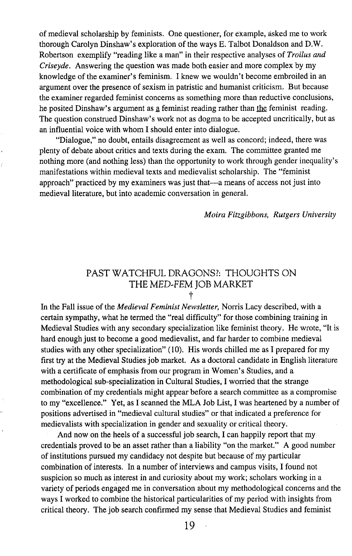of medieval scholarship by feminists. One questioner, for example, asked me to work thorough Carolyn Dinshaw's exploration of the ways E. Talbot Donaldson and D.W. Robertson exemplify "reading like a man" in their respective analyses of *Troilus and Criseyde.* Answering the question was made both easier and more complex by my knowledge of the examiner's feminism. I knew we wouldn't become embroiled in an argument over the presence of sexism in patristic and humanist criticism. But because the examiner regarded feminist concerns as something more than reductive conclusions, he posited Dinshaw's argument as g feminist reading rather than the feminist reading. The question construed Dinshaw's work not as dogma to be accepted uncritically, but as an influential voice with whom I should enter into dialogue.

"Dialogue," no doubt, entails disagreement as well as concord; indeed, there was plenty of debate about critics and texts during the exam. The committee granted me nothing more (and nothing less) than the opportunity to work through gender inequality's manifestations within medieval texts and medievalist scholarship. The "feminist approach" practiced by my examiners was just that-a means of access not just into medieval literature, but into academic conversation in general.

*Moira Fitzgibbons, Rutgers University*

## PAST WATCHFUL DRAGONS?: THOUGHTS ON THE MED-FEM JOB MARKET t

In the Fall issue of the *Medieval Feminist Newsletter,* Norris Lacy described, with a certain sympathy, what he termed the "real difficulty" for those combining training in Medieval Studies with any secondary specialization like feminist theory. He wrote, "It is hard enough just to become a good medievalist, and far harder to combine medieval studies with any other specialization" (10). His words chilled me as I prepared for my first try at the Medieval Studies job market. As a doctoral candidate in English literature with a certificate of emphasis from our program in Women's Studies, and a methodological sub-specialization in Cultural Studies, I worried that the strange combination of my credentials might appear before a search committee as a compromise to my "excellence." Yet, as I scanned the MLA Job List, I was heartened by a number of positions advertised in "medieval cultural studies" or that indicated a preference for medievalists with specialization in gender and sexuality or critical theory.

And now on the heels of a successful job search, I can happily report that my credentials proved to be an asset rather than a liability "on the market." A good number of institutions pursued my candidacy not despite but because of my particular combination of interests. In a number of interviews and campus visits, I found not suspicion so much as interest in and curiosity about my work; scholars working in a variety of periods engaged me in conversation about my methodological concerns and the ways I worked to combine the historical particularities of my period with insights from critical theory. The job search confirmed my sense that Medieval Studies and feminist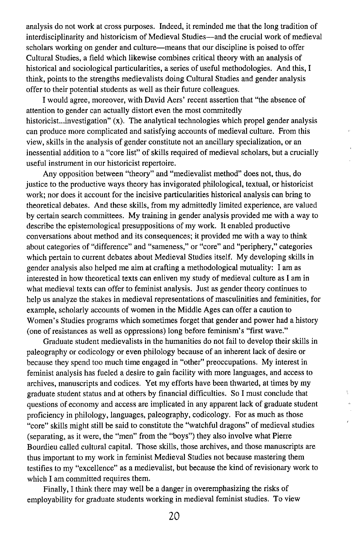analysis do not work at cross purposes. Indeed, it reminded me that the long tradition of interdisciplinarity and historicism of Medieval Studies-and the crucial work of medieval scholars working on gender and culture—means that our discipline is poised to offer Cultural Studies, a field which likewise combines critical theory with an analysis of historical and sociological particularities, a series of useful methodologies. And this, I think, points to the strengths medievalists doing Cultural Studies and gender analysis offer to their potential students as well as their future colleagues.

I would agree, moreover, with David Aers' recent assertion that "the absence of attention to gender can actually distort even the most commitedly historicist...investigation" (x), The analytical technologies which propel gender analysis can produce more complicated and satisfying accounts of medieval culture. From this view, skills in the analysis of gender constitute not an ancillary specialization, or an inessential addition to a "core list" of skills required of medieval scholars, but a crucially useful instrument in our historicist repertoire.

Any opposition between "theory" and "medievalist method" does not, thus, do justice to the productive ways theory has invigorated philological, textual, or historicist work; nor does it account for the incisive particularities historical analysis can bring to theoretical debates. And these skills, from my admittedly limited experience, are valued by certain search committees. My training in gender analysis provided me with a way to describe the epistemological presuppositions of my work. It enabled productive conversations about method and its consequences; it provided me with a way to think about categories of "difference" and "sameness," or "core" and "periphery," categories which pertain to current debates about Medieval Studies itself. My developing skills in gender analysis also helped me aim at crafting a methodological mutuality: I am as interested in how theoretical texts can enliven my study of medieval culture as I am in what medieval texts can offer to feminist analysis. Just as gender theory continues to help us analyze the stakes in medieval representations of masculinities and feminities, for example, scholarly accounts of women in the Middle Ages can offer a caution to Women's Studies programs which sometimes forget that gender and power had a history (one of resistances as well as oppressions) long before feminism's "first wave."

Graduate student medievalists in the humanities do not fail to develop their skills in paleography or codicology or even philology because of an inherent lack of desire or because they spend too much time engaged in "other" preoccupations. My interest in feminist analysis has fueled a desire to gain facility with more languages, and access to archives, manuscripts and codices. Yet my efforts have been thwarted, at times by my graduate student status and at others by financial difficulties. So I must conclude that questions of economy and access are implicated in any apparent lack of graduate student proficiency in philology, languages, paleography, codicology. For as much as those "core" skills might still be said to constitute the "watchful dragons" of medieval studies (separating, as it were, the "men" from the "boys") they also involve what Pierre Bourdieu called cultural capital. Those skills, those archives, and those manuscripts are thus important to my work in feminist Medieval Studies not because mastering them testifies to my "excellence" as a medievalist, but because the kind of revisionary work to which I am committed requires them.

Finally, I think there may well be a danger in overemphasizing the risks of employability for graduate students working in medieval feminist studies. To view